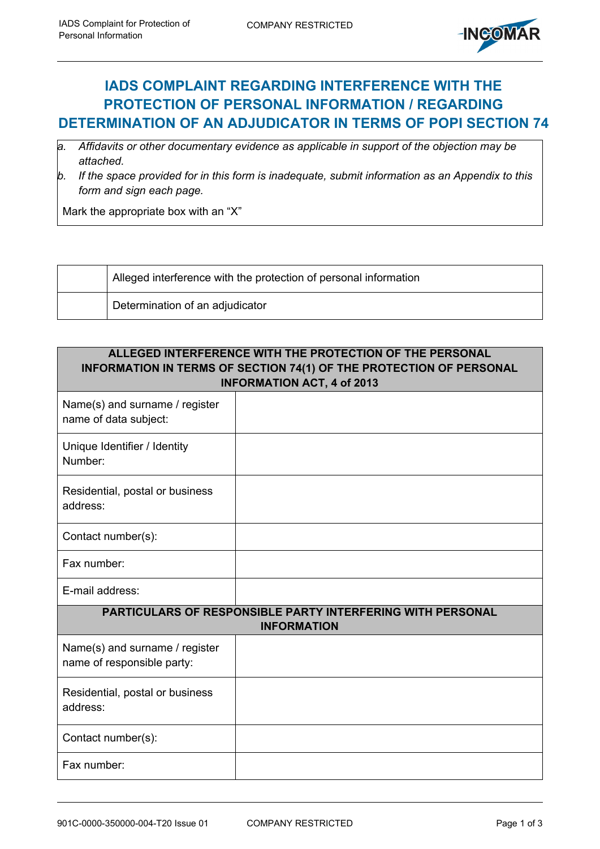

## **IADS COMPLAINT REGARDING INTERFERENCE WITH THE PROTECTION OF PERSONAL INFORMATION / REGARDING DETERMINATION OF AN ADJUDICATOR IN TERMS OF POPI SECTION 74**

- *a. Affidavits or other documentary evidence as applicable in support of the objection may be attached.*
- *b. If the space provided for in this form is inadequate, submit information as an Appendix to this form and sign each page.*

Mark the appropriate box with an "X"

| Alleged interference with the protection of personal information |
|------------------------------------------------------------------|
| Determination of an adjudicator                                  |

| ALLEGED INTERFERENCE WITH THE PROTECTION OF THE PERSONAL<br>INFORMATION IN TERMS OF SECTION 74(1) OF THE PROTECTION OF PERSONAL<br><b>INFORMATION ACT, 4 of 2013</b> |  |  |  |  |  |  |
|----------------------------------------------------------------------------------------------------------------------------------------------------------------------|--|--|--|--|--|--|
| Name(s) and surname / register<br>name of data subject:                                                                                                              |  |  |  |  |  |  |
| Unique Identifier / Identity<br>Number:                                                                                                                              |  |  |  |  |  |  |
| Residential, postal or business<br>address:                                                                                                                          |  |  |  |  |  |  |
| Contact number(s):                                                                                                                                                   |  |  |  |  |  |  |
| Fax number:                                                                                                                                                          |  |  |  |  |  |  |
| E-mail address:                                                                                                                                                      |  |  |  |  |  |  |
| <b>PARTICULARS OF RESPONSIBLE PARTY INTERFERING WITH PERSONAL</b><br><b>INFORMATION</b>                                                                              |  |  |  |  |  |  |
| Name(s) and surname / register<br>name of responsible party:                                                                                                         |  |  |  |  |  |  |
| Residential, postal or business<br>address:                                                                                                                          |  |  |  |  |  |  |
| Contact number(s):                                                                                                                                                   |  |  |  |  |  |  |
| Fax number:                                                                                                                                                          |  |  |  |  |  |  |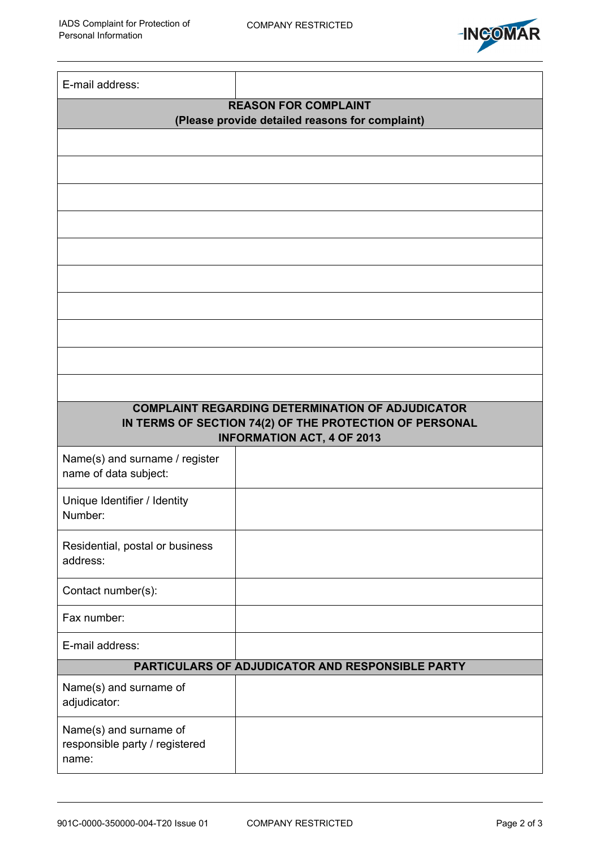

| E-mail address:                                          |                                                                                              |  |  |  |  |  |  |
|----------------------------------------------------------|----------------------------------------------------------------------------------------------|--|--|--|--|--|--|
| <b>REASON FOR COMPLAINT</b>                              |                                                                                              |  |  |  |  |  |  |
| (Please provide detailed reasons for complaint)          |                                                                                              |  |  |  |  |  |  |
|                                                          |                                                                                              |  |  |  |  |  |  |
|                                                          |                                                                                              |  |  |  |  |  |  |
|                                                          |                                                                                              |  |  |  |  |  |  |
|                                                          |                                                                                              |  |  |  |  |  |  |
|                                                          |                                                                                              |  |  |  |  |  |  |
|                                                          |                                                                                              |  |  |  |  |  |  |
|                                                          |                                                                                              |  |  |  |  |  |  |
|                                                          |                                                                                              |  |  |  |  |  |  |
|                                                          |                                                                                              |  |  |  |  |  |  |
|                                                          |                                                                                              |  |  |  |  |  |  |
|                                                          | <b>COMPLAINT REGARDING DETERMINATION OF ADJUDICATOR</b>                                      |  |  |  |  |  |  |
|                                                          | IN TERMS OF SECTION 74(2) OF THE PROTECTION OF PERSONAL<br><b>INFORMATION ACT, 4 OF 2013</b> |  |  |  |  |  |  |
| Name(s) and surname / register                           |                                                                                              |  |  |  |  |  |  |
| name of data subject:                                    |                                                                                              |  |  |  |  |  |  |
| Unique Identifier / Identity                             |                                                                                              |  |  |  |  |  |  |
| Number:                                                  |                                                                                              |  |  |  |  |  |  |
| Residential, postal or business                          |                                                                                              |  |  |  |  |  |  |
| address:                                                 |                                                                                              |  |  |  |  |  |  |
| Contact number(s):                                       |                                                                                              |  |  |  |  |  |  |
| Fax number:                                              |                                                                                              |  |  |  |  |  |  |
| E-mail address:                                          |                                                                                              |  |  |  |  |  |  |
| PARTICULARS OF ADJUDICATOR AND RESPONSIBLE PARTY         |                                                                                              |  |  |  |  |  |  |
| Name(s) and surname of<br>adjudicator:                   |                                                                                              |  |  |  |  |  |  |
| Name(s) and surname of<br>responsible party / registered |                                                                                              |  |  |  |  |  |  |
| name:                                                    |                                                                                              |  |  |  |  |  |  |